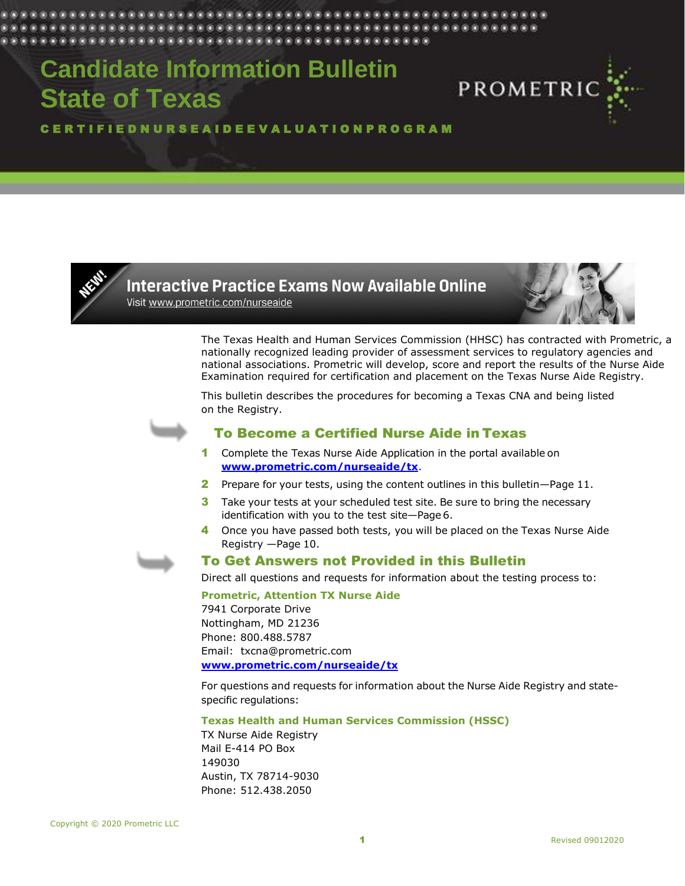# **Candidate Information Bulletin State of Texas**



# C E R T I F I E D N U R S E A I D E E V A L U A T I O N P R O G R A M



# **Interactive Practice Exams Now Available Online** Visit www.prometric.com/nurseaide

The Texas Health and Human Services Commission (HHSC) has contracted with Prometric, a nationally recognized leading provider of assessment services to regulatory agencies and national associations. Prometric will develop, score and report the results of the Nurse Aide Examination required for certification and placement on the Texas Nurse Aide Registry.

This bulletin describes the procedures for becoming a Texas CNA and being listed on the Registry.



# To Become a Certified Nurse Aide in Texas

- 1 Complete the Texas Nurse Aide Application in the portal available on **[www.prometric.com/nurseaide/tx](http://www.prometric.com/nurseaide/tx)**.
- 2 Prepare for your tests, using the content outlines in this bulletin—Page [11.](#page-10-0)
- **3** Take your tests at your scheduled test site. Be sure to bring the necessary identification with you to the test site—Page 6.
- 4 Once you have passed both tests, you will be placed on the Texas Nurse Aide Registry —Page 10.



# To Get Answers not Provided in this Bulletin

Direct all questions and requests for information about the testing process to:

**Prometric, Attention TX Nurse Aide**

7941 Corporate Drive Nottingham, MD 21236 Phone: 800.488.5787 Email: txcna@prometric.com **[www.prometric.com/nurseaide/tx](http://www.prometric.com/nurseaide/tx)**

For questions and requests for information about the Nurse Aide Registry and statespecific regulations:

# **Texas Health and Human Services Commission (HSSC)**

TX Nurse Aide Registry Mail E-414 PO Box 149030 Austin, TX 78714-9030 Phone: 512.438.2050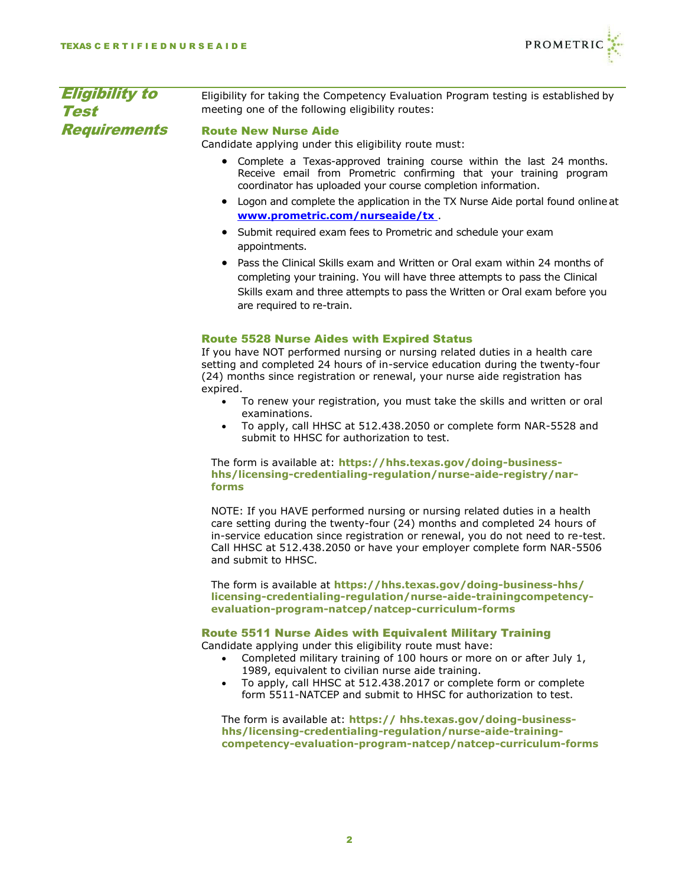

| <b>Eligibility to</b><br>Test | Eligibility for taking the Competency Evaluation Program testing is established by<br>meeting one of the following eligibility routes:                                                                                                                                                                                                                                                                                                                                                                                                    |  |  |
|-------------------------------|-------------------------------------------------------------------------------------------------------------------------------------------------------------------------------------------------------------------------------------------------------------------------------------------------------------------------------------------------------------------------------------------------------------------------------------------------------------------------------------------------------------------------------------------|--|--|
| <b>Requirements</b>           | <b>Route New Nurse Aide</b><br>Candidate applying under this eligibility route must:<br>Complete a Texas-approved training course within the last 24 months.<br>$\bullet$<br>Receive email from Prometric confirming that your training program<br>coordinator has uploaded your course completion information.<br>Logon and complete the application in the TX Nurse Aide portal found online at<br>$\bullet$<br>www.prometric.com/nurseaide/tx.                                                                                         |  |  |
|                               | Submit required exam fees to Prometric and schedule your exam<br>$\bullet$<br>appointments.<br>Pass the Clinical Skills exam and Written or Oral exam within 24 months of<br>completing your training. You will have three attempts to pass the Clinical<br>Skills exam and three attempts to pass the Written or Oral exam before you<br>are required to re-train.                                                                                                                                                                       |  |  |
|                               | <b>Route 5528 Nurse Aides with Expired Status</b><br>If you have NOT performed nursing or nursing related duties in a health care<br>setting and completed 24 hours of in-service education during the twenty-four<br>(24) months since registration or renewal, your nurse aide registration has<br>expired.<br>To renew your registration, you must take the skills and written or oral<br>$\bullet$<br>examinations.<br>To apply, call HHSC at 512.438.2050 or complete form NAR-5528 and<br>submit to HHSC for authorization to test. |  |  |

# The form is available at: **https://hhs.texas.gov/doing-businesshhs/licensing-credentialing-regulation/nurse-aide-registry/narforms**

NOTE: If you HAVE performed nursing or nursing related duties in a health care setting during the twenty-four (24) months and completed 24 hours of in-service education since registration or renewal, you do not need to re-test. Call HHSC at 512.438.2050 or have your employer complete form NAR-5506 and submit to HHSC.

The form is available at **https://hhs.texas.gov/doing-business-hhs/ licensing-credentialing-regulation/nurse-aide-trainingcompetencyevaluation-program-natcep/natcep-curriculum-forms**

# Route 5511 Nurse Aides with Equivalent Military Training Candidate applying under this eligibility route must have:

- Completed military training of 100 hours or more on or after July 1, 1989, equivalent to civilian nurse aide training.
- To apply, call HHSC at 512.438.2017 or complete form or complete form 5511-NATCEP and submit to HHSC for authorization to test.

The form is available at: **https:// hhs.texas.gov/doing-businesshhs/licensing-credentialing-regulation/nurse-aide-trainingcompetency-evaluation-program-natcep/natcep-curriculum-forms**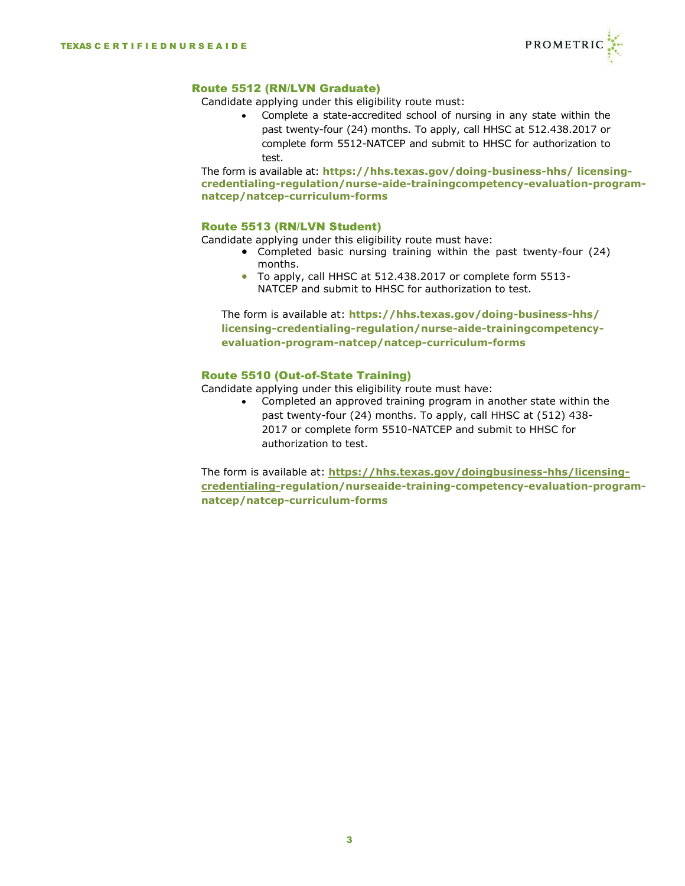

# Route 5512 (RN/LVN Graduate)

Candidate applying under this eligibility route must:

• Complete a state-accredited school of nursing in any state within the past twenty-four (24) months. To apply, call HHSC at 512.438.2017 or complete form 5512-NATCEP and submit to HHSC for authorization to test.

The form is available at: **https://hhs.texas.gov/doing-business-hhs/ licensingcredentialing-regulation/nurse-aide-trainingcompetency-evaluation-programnatcep/natcep-curriculum-forms**

# Route 5513 (RN/LVN Student)

Candidate applying under this eligibility route must have:

- Completed basic nursing training within the past twenty-four (24) months.
- To apply, call HHSC at 512.438.2017 or complete form 5513- NATCEP and submit to HHSC for authorization to test.

The form is available at: **https://hhs.texas.gov/doing-business-hhs/ licensing-credentialing-regulation/nurse-aide-trainingcompetencyevaluation-program-natcep/natcep-curriculum-forms**

# Route 5510 (Out-of-State Training)

Candidate applying under this eligibility route must have:

• Completed an approved training program in another state within the past twenty-four (24) months. To apply, call HHSC at (512) 438- 2017 or complete form 5510-NATCEP and submit to HHSC for authorization to test.

The form is available at: **[https://hhs.texas.gov/doingbusiness-hhs/licensing](https://hhs.texas.gov/doingbusiness-hhs/licensing-credentialing-)[credentialing-r](https://hhs.texas.gov/doingbusiness-hhs/licensing-credentialing-)egulation/nurseaide-training-competency-evaluation-programnatcep/natcep-curriculum-forms**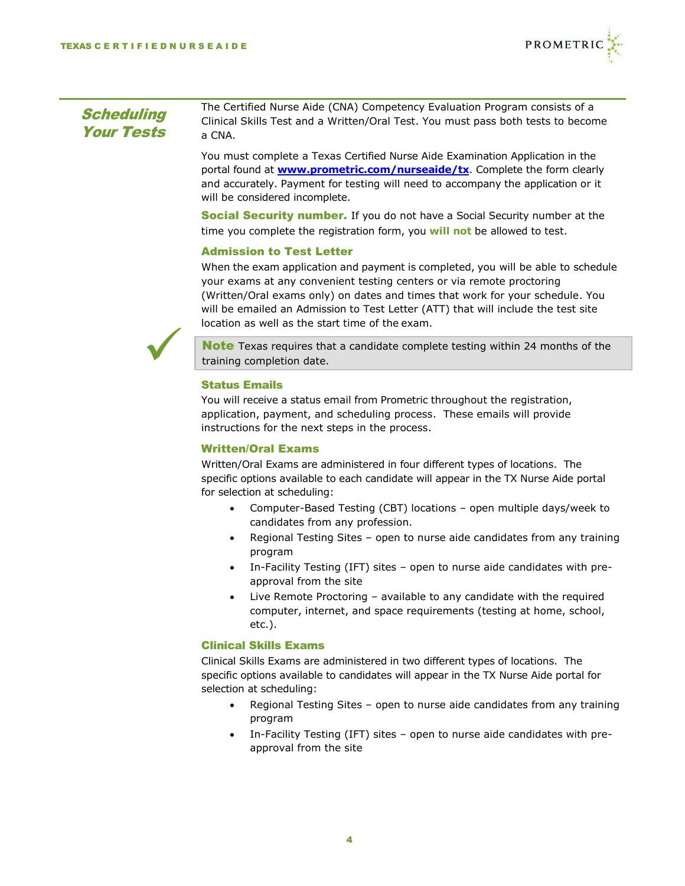

#### **Scheduling** Your Tests The Certified Nurse Aide (CNA) Competency Evaluation Program consists of a Clinical Skills Test and a Written/Oral Test. You must pass both tests to become a CNA.

You must complete a Texas Certified Nurse Aide Examination Application in the portal found at **[www.prometric.com/nurseaide/tx](http://www.prometric.com/nurseaide/tx)**. Complete the form clearly and accurately. Payment for testing will need to accompany the application or it will be considered incomplete.

**Social Security number.** If you do not have a Social Security number at the time you complete the registration form, you **will not** be allowed to test.

# Admission to Test Letter

When the exam application and payment is completed, you will be able to schedule your exams at any convenient testing centers or via remote proctoring (Written/Oral exams only) on dates and times that work for your schedule. You will be emailed an Admission to Test Letter (ATT) that will include the test site location as well as the start time of the exam.



**Note** Texas requires that a candidate complete testing within 24 months of the training completion date.

# Status Emails

You will receive a status email from Prometric throughout the registration, application, payment, and scheduling process. These emails will provide instructions for the next steps in the process.

# Written/Oral Exams

Written/Oral Exams are administered in four different types of locations. The specific options available to each candidate will appear in the TX Nurse Aide portal for selection at scheduling:

- Computer-Based Testing (CBT) locations open multiple days/week to candidates from any profession.
- Regional Testing Sites open to nurse aide candidates from any training program
- In-Facility Testing (IFT) sites open to nurse aide candidates with preapproval from the site
- Live Remote Proctoring available to any candidate with the required computer, internet, and space requirements (testing at home, school, etc.).

# Clinical Skills Exams

Clinical Skills Exams are administered in two different types of locations. The specific options available to candidates will appear in the TX Nurse Aide portal for selection at scheduling:

- Regional Testing Sites open to nurse aide candidates from any training program
- In-Facility Testing (IFT) sites open to nurse aide candidates with preapproval from the site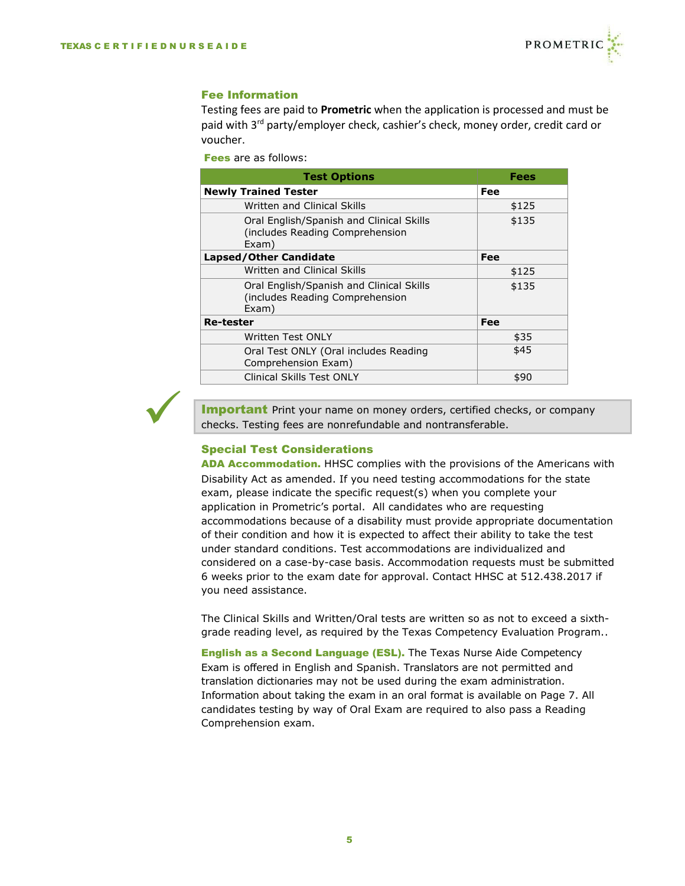✓



#### Fee Information

Testing fees are paid to **Prometric** when the application is processed and must be paid with 3rd party/employer check, cashier's check, money order, credit card or voucher.

Fees are as follows:

| <b>Test Options</b>                                                                   | Fees  |
|---------------------------------------------------------------------------------------|-------|
| <b>Newly Trained Tester</b>                                                           | Fee   |
| Written and Clinical Skills                                                           | \$125 |
| Oral English/Spanish and Clinical Skills<br>(includes Reading Comprehension)<br>Exam) | \$135 |
| <b>Lapsed/Other Candidate</b>                                                         | Fee   |
| Written and Clinical Skills                                                           | \$125 |
| Oral English/Spanish and Clinical Skills<br>(includes Reading Comprehension<br>Exam)  | \$135 |
| <b>Re-tester</b>                                                                      | Fee   |
| Written Test ONLY                                                                     | \$35  |
| Oral Test ONLY (Oral includes Reading<br>Comprehension Exam)                          | \$45  |
| <b>Clinical Skills Test ONLY</b>                                                      | \$90  |

**Important** Print your name on money orders, certified checks, or company checks. Testing fees are nonrefundable and nontransferable.

# Special Test Considerations

ADA Accommodation. HHSC complies with the provisions of the Americans with Disability Act as amended. If you need testing accommodations for the state exam, please indicate the specific request(s) when you complete your application in Prometric's portal. All candidates who are requesting accommodations because of a disability must provide appropriate documentation of their condition and how it is expected to affect their ability to take the test under standard conditions. Test accommodations are individualized and considered on a case-by-case basis. Accommodation requests must be submitted 6 weeks prior to the exam date for approval. Contact HHSC at 512.438.2017 if you need assistance.

The Clinical Skills and Written/Oral tests are written so as not to exceed a sixthgrade reading level, as required by the Texas Competency Evaluation Program..

English as a Second Language (ESL). The Texas Nurse Aide Competency Exam is offered in English and Spanish. Translators are not permitted and translation dictionaries may not be used during the exam administration. Information about taking the exam in an oral format is available on Page 7. All candidates testing by way of Oral Exam are required to also pass a Reading Comprehension exam.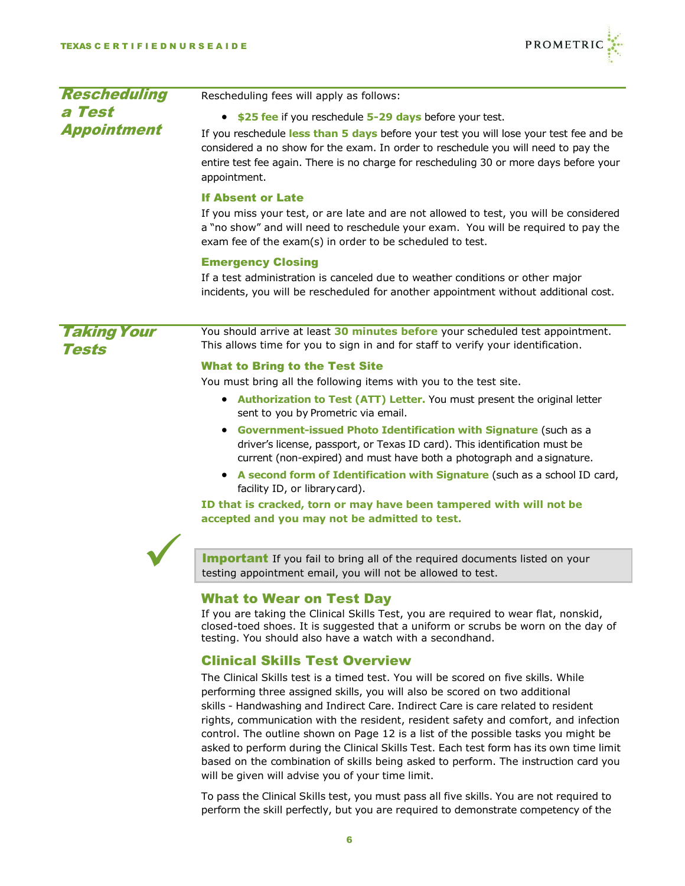

| <b>Rescheduling</b>   | Rescheduling fees will apply as follows:                                                                                                                                                                                                                                                                                                                                                                                                                                                                                                                                                                                                                                                               |  |  |  |
|-----------------------|--------------------------------------------------------------------------------------------------------------------------------------------------------------------------------------------------------------------------------------------------------------------------------------------------------------------------------------------------------------------------------------------------------------------------------------------------------------------------------------------------------------------------------------------------------------------------------------------------------------------------------------------------------------------------------------------------------|--|--|--|
| a Test<br>Appointment | \$25 fee if you reschedule 5-29 days before your test.<br>If you reschedule less than 5 days before your test you will lose your test fee and be<br>considered a no show for the exam. In order to reschedule you will need to pay the<br>entire test fee again. There is no charge for rescheduling 30 or more days before your<br>appointment.                                                                                                                                                                                                                                                                                                                                                       |  |  |  |
|                       | <b>If Absent or Late</b><br>If you miss your test, or are late and are not allowed to test, you will be considered<br>a "no show" and will need to reschedule your exam. You will be required to pay the<br>exam fee of the exam(s) in order to be scheduled to test.                                                                                                                                                                                                                                                                                                                                                                                                                                  |  |  |  |
|                       | <b>Emergency Closing</b><br>If a test administration is canceled due to weather conditions or other major<br>incidents, you will be rescheduled for another appointment without additional cost.                                                                                                                                                                                                                                                                                                                                                                                                                                                                                                       |  |  |  |
| Taking Your<br>Tests  | You should arrive at least 30 minutes before your scheduled test appointment.<br>This allows time for you to sign in and for staff to verify your identification.                                                                                                                                                                                                                                                                                                                                                                                                                                                                                                                                      |  |  |  |
|                       | <b>What to Bring to the Test Site</b><br>You must bring all the following items with you to the test site.<br>• Authorization to Test (ATT) Letter. You must present the original letter<br>sent to you by Prometric via email.<br>• Government-issued Photo Identification with Signature (such as a<br>driver's license, passport, or Texas ID card). This identification must be<br>current (non-expired) and must have both a photograph and a signature.<br>• A second form of Identification with Signature (such as a school ID card,<br>facility ID, or library card).<br>ID that is cracked, torn or may have been tampered with will not be<br>accepted and you may not be admitted to test. |  |  |  |
|                       | <b>Important</b> If you fail to bring all of the required documents listed on your<br>testing appointment email, you will not be allowed to test.                                                                                                                                                                                                                                                                                                                                                                                                                                                                                                                                                      |  |  |  |
|                       | <b>What to Wear on Test Day</b><br>If you are taking the Clinical Skills Test, you are required to wear flat, nonskid,<br>closed-toed shoes. It is suggested that a uniform or scrubs be worn on the day of<br>testing. You should also have a watch with a secondhand.                                                                                                                                                                                                                                                                                                                                                                                                                                |  |  |  |
|                       | <b>Clinical Skills Test Overview</b><br>The Clinical Skills test is a timed test. You will be scored on five skills. While<br>performing three assigned skills, you will also be scored on two additional                                                                                                                                                                                                                                                                                                                                                                                                                                                                                              |  |  |  |

performing three assigned skills, you will also be scored on two additional skills - Handwashing and Indirect Care. Indirect Care is care related to resident rights, communication with the resident, resident safety and comfort, and infection control. The outline shown on Page [12 is](#page-10-0) a list of the possible tasks you might be asked to perform during the Clinical Skills Test. Each test form has its own time limit based on the combination of skills being asked to perform. The instruction card you will be given will advise you of your time limit.

To pass the Clinical Skills test, you must pass all five skills. You are not required to perform the skill perfectly, but you are required to demonstrate competency of the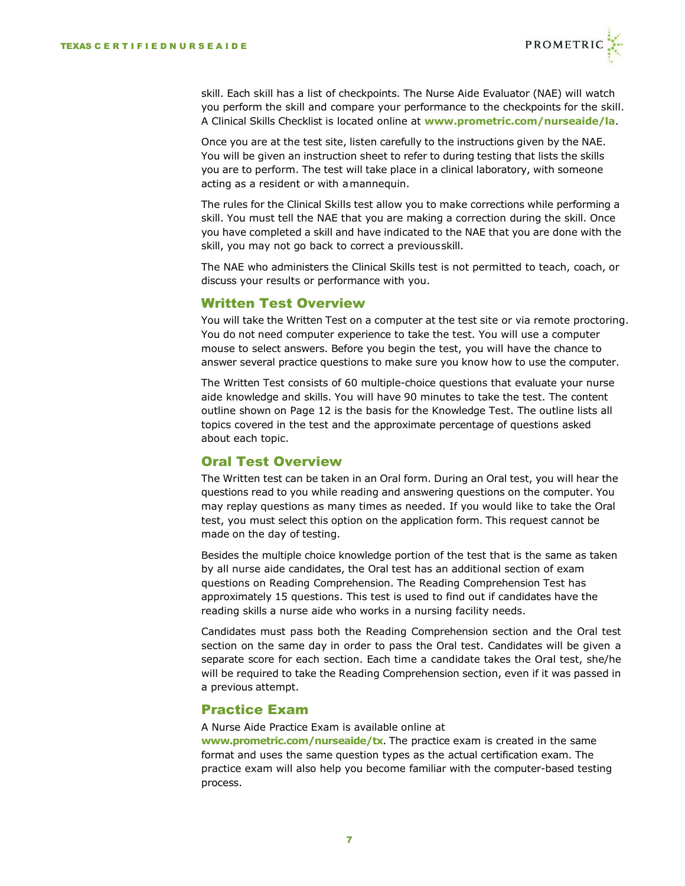

skill. Each skill has a list of checkpoints. The Nurse Aide Evaluator (NAE) will watch you perform the skill and compare your performance to the checkpoints for the skill. A Clinical Skills Checklist is located online at **[www.prometric.com/nurseaide/la](http://www.prometric.com/nurseaide/la)**.

Once you are at the test site, listen carefully to the instructions given by the NAE. You will be given an instruction sheet to refer to during testing that lists the skills you are to perform. The test will take place in a clinical laboratory, with someone acting as a resident or with amannequin.

The rules for the Clinical Skills test allow you to make corrections while performing a skill. You must tell the NAE that you are making a correction during the skill. Once you have completed a skill and have indicated to the NAE that you are done with the skill, you may not go back to correct a previousskill.

The NAE who administers the Clinical Skills test is not permitted to teach, coach, or discuss your results or performance with you.

# Written Test Overview

You will take the Written Test on a computer at the test site or via remote proctoring. You do not need computer experience to take the test. You will use a computer mouse to select answers. Before you begin the test, you will have the chance to answer several practice questions to make sure you know how to use the computer.

The Written Test consists of 60 multiple-choice questions that evaluate your nurse aide knowledge and skills. You will have 90 minutes to take the test. The content outline shown on Page [12 i](#page-10-0)s the basis for the Knowledge Test. The outline lists all topics covered in the test and the approximate percentage of questions asked about each topic.

# Oral Test Overview

The Written test can be taken in an Oral form. During an Oral test, you will hear the questions read to you while reading and answering questions on the computer. You may replay questions as many times as needed. If you would like to take the Oral test, you must select this option on the application form. This request cannot be made on the day of testing.

Besides the multiple choice knowledge portion of the test that is the same as taken by all nurse aide candidates, the Oral test has an additional section of exam questions on Reading Comprehension. The Reading Comprehension Test has approximately 15 questions. This test is used to find out if candidates have the reading skills a nurse aide who works in a nursing facility needs.

Candidates must pass both the Reading Comprehension section and the Oral test section on the same day in order to pass the Oral test. Candidates will be given a separate score for each section. Each time a candidate takes the Oral test, she/he will be required to take the Reading Comprehension section, even if it was passed in a previous attempt.

# Practice Exam

A Nurse Aide Practice Exam is available online at **[www.prometric.com/nurseaide/](http://www.prometric.com/nurseaide)tx**. The practice exam is created in the same format and uses the same question types as the actual certification exam. The practice exam will also help you become familiar with the computer-based testing process.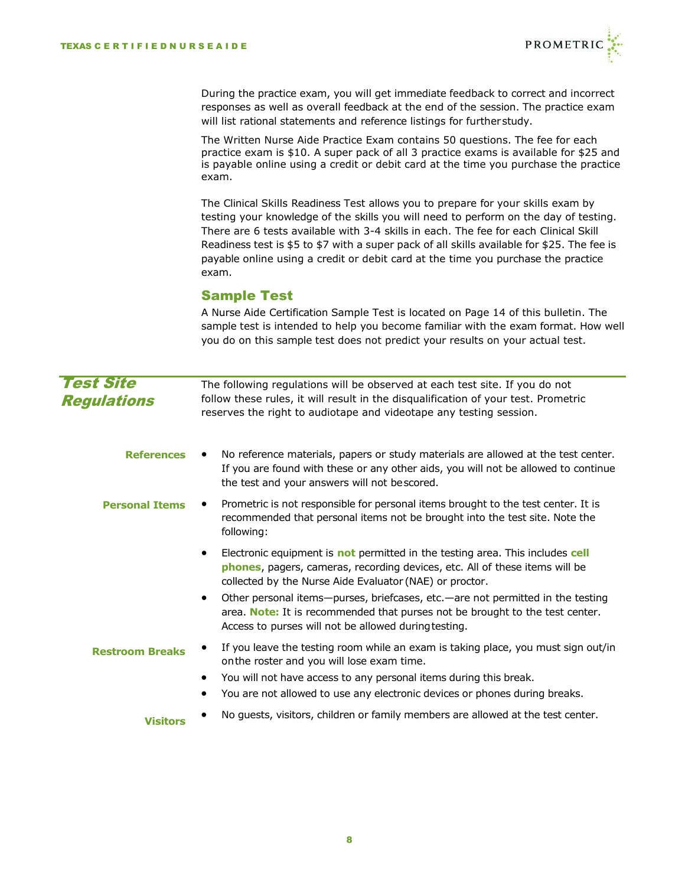

During the practice exam, you will get immediate feedback to correct and incorrect responses as well as overall feedback at the end of the session. The practice exam will list rational statements and reference listings for furtherstudy.

The Written Nurse Aide Practice Exam contains 50 questions. The fee for each practice exam is \$10. A super pack of all 3 practice exams is available for \$25 and is payable online using a credit or debit card at the time you purchase the practice exam.

The Clinical Skills Readiness Test allows you to prepare for your skills exam by testing your knowledge of the skills you will need to perform on the day of testing. There are 6 tests available with 3-4 skills in each. The fee for each Clinical Skill Readiness test is \$5 to \$7 with a super pack of all skills available for \$25. The fee is payable online using a credit or debit card at the time you purchase the practice exam.

# Sample Test

A Nurse Aide Certification Sample Test is located on Page 14 of this bulletin. The sample test is intended to help you become familiar with the exam format. How well you do on this sample test does not predict your results on your actual test.

| <b>Test Site</b><br><b>Regulations</b> | The following regulations will be observed at each test site. If you do not<br>follow these rules, it will result in the disqualification of your test. Prometric<br>reserves the right to audiotape and videotape any testing session. |
|----------------------------------------|-----------------------------------------------------------------------------------------------------------------------------------------------------------------------------------------------------------------------------------------|
| <b>References</b>                      | No reference materials, papers or study materials are allowed at the test center.<br>If you are found with these or any other aids, you will not be allowed to continue<br>the test and your answers will not bescored.                 |
| <b>Personal Items</b>                  | Prometric is not responsible for personal items brought to the test center. It is<br>recommended that personal items not be brought into the test site. Note the<br>following:                                                          |
|                                        | Electronic equipment is not permitted in the testing area. This includes cell<br>phones, pagers, cameras, recording devices, etc. All of these items will be<br>collected by the Nurse Aide Evaluator (NAE) or proctor.                 |
|                                        | Other personal items—purses, briefcases, etc.—are not permitted in the testing<br>area. Note: It is recommended that purses not be brought to the test center.<br>Access to purses will not be allowed during testing.                  |
| <b>Restroom Breaks</b>                 | If you leave the testing room while an exam is taking place, you must sign out/in<br>on the roster and you will lose exam time.                                                                                                         |
|                                        | You will not have access to any personal items during this break.<br>$\bullet$<br>You are not allowed to use any electronic devices or phones during breaks.                                                                            |
| <b>Visitors</b>                        | No guests, visitors, children or family members are allowed at the test center.                                                                                                                                                         |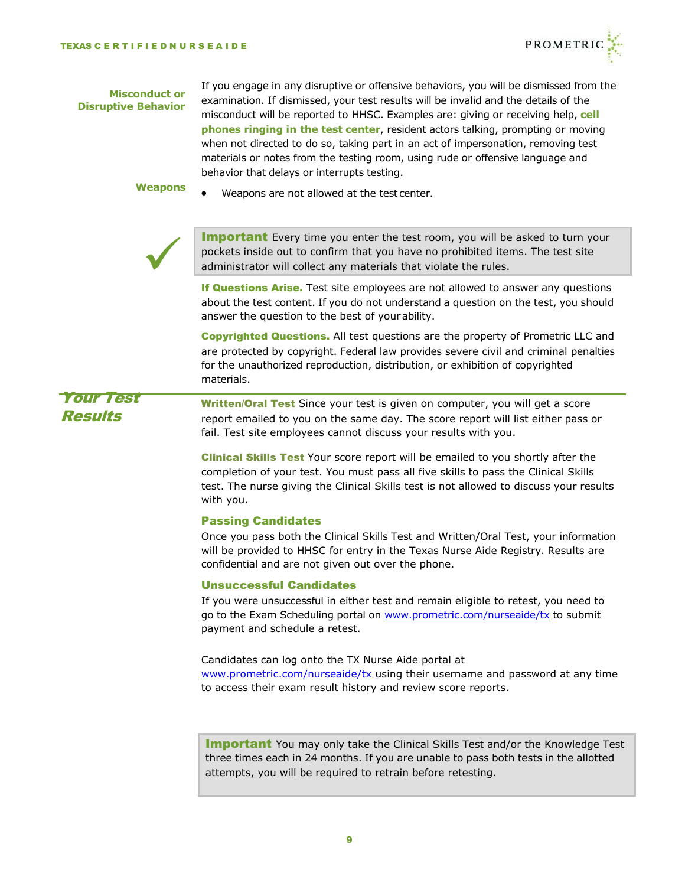

#### **Misconduct or Disruptive Behavior**

If you engage in any disruptive or offensive behaviors, you will be dismissed from the examination. If dismissed, your test results will be invalid and the details of the misconduct will be reported to HHSC. Examples are: giving or receiving help, **cell phones ringing in the test center**, resident actors talking, prompting or moving when not directed to do so, taking part in an act of impersonation, removing test materials or notes from the testing room, using rude or offensive language and behavior that delays or interrupts testing.

- **Weapons**
	- Weapons are not allowed at the test center.



**Important** Every time you enter the test room, you will be asked to turn your pockets inside out to confirm that you have no prohibited items. The test site administrator will collect any materials that violate the rules.

If Questions Arise. Test site employees are not allowed to answer any questions about the test content. If you do not understand a question on the test, you should answer the question to the best of yourability.

Copyrighted Questions. All test questions are the property of Prometric LLC and are protected by copyright. Federal law provides severe civil and criminal penalties for the unauthorized reproduction, distribution, or exhibition of copyrighted materials.

Your Test Results

Written/Oral Test Since your test is given on computer, you will get a score report emailed to you on the same day. The score report will list either pass or fail. Test site employees cannot discuss your results with you.

Clinical Skills Test Your score report will be emailed to you shortly after the completion of your test. You must pass all five skills to pass the Clinical Skills test. The nurse giving the Clinical Skills test is not allowed to discuss your results with you.

#### Passing Candidates

Once you pass both the Clinical Skills Test and Written/Oral Test, your information will be provided to HHSC for entry in the Texas Nurse Aide Registry. Results are confidential and are not given out over the phone.

# Unsuccessful Candidates

If you were unsuccessful in either test and remain eligible to retest, you need to go to the Exam Scheduling portal on [www.prometric.com/nurseaide/tx](http://www.prometric.com/nurseaide/tx) to submit payment and schedule a retest.

Candidates can log onto the TX Nurse Aide portal at [www.prometric.com/nurseaide/tx](http://www.prometric.com/nurseaide/tx) using their username and password at any time to access their exam result history and review score reports.

**Important** You may only take the Clinical Skills Test and/or the Knowledge Test three times each in 24 months. If you are unable to pass both tests in the allotted attempts, you will be required to retrain before retesting.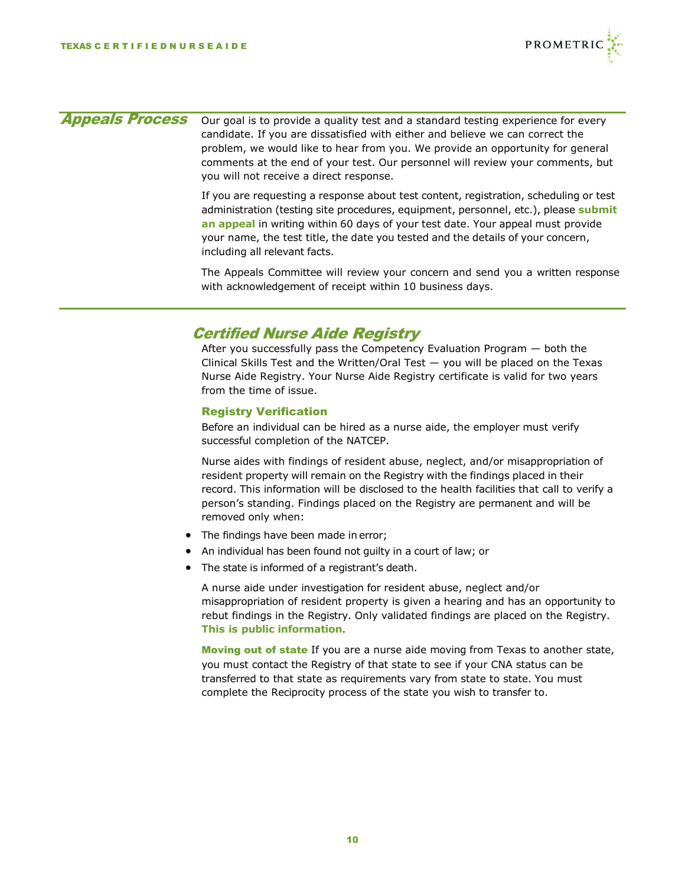

| <b>Appeals Process</b> | Our goal is to provide a quality test and a standard testing experience for every<br>candidate. If you are dissatisfied with either and believe we can correct the<br>problem, we would like to hear from you. We provide an opportunity for general<br>comments at the end of your test. Our personnel will review your comments, but<br>you will not receive a direct response.   |
|------------------------|-------------------------------------------------------------------------------------------------------------------------------------------------------------------------------------------------------------------------------------------------------------------------------------------------------------------------------------------------------------------------------------|
|                        | If you are requesting a response about test content, registration, scheduling or test<br>administration (testing site procedures, equipment, personnel, etc.), please submit<br>an appeal in writing within 60 days of your test date. Your appeal must provide<br>your name, the test title, the date you tested and the details of your concern,<br>including all relevant facts. |
|                        | The Appeals Committee will review your concern and send you a written response<br>with acknowledgement of receipt within 10 business days.                                                                                                                                                                                                                                          |
|                        | <b>Certified Nurse Aide Registry</b><br>an sa sa sa sa sa sa falla na sa sa bhain ∕ fan a bhain an an Fhaoil sa bhain fhac an sa sa s                                                                                                                                                                                                                                               |

After you successfully pass the Competency Evaluation Program — both the Clinical Skills Test and the Written/Oral Test — you will be placed on the Texas Nurse Aide Registry. Your Nurse Aide Registry certificate is valid for two years from the time of issue.

# Registry Verification

Before an individual can be hired as a nurse aide, the employer must verify successful completion of the NATCEP.

Nurse aides with findings of resident abuse, neglect, and/or misappropriation of resident property will remain on the Registry with the findings placed in their record. This information will be disclosed to the health facilities that call to verify a person's standing. Findings placed on the Registry are permanent and will be removed only when:

- The findings have been made in error;
- An individual has been found not guilty in a court of law; or
- The state is informed of a registrant's death.

A nurse aide under investigation for resident abuse, neglect and/or misappropriation of resident property is given a hearing and has an opportunity to rebut findings in the Registry. Only validated findings are placed on the Registry. **This is public information**.

Moving out of state If you are a nurse aide moving from Texas to another state, you must contact the Registry of that state to see if your CNA status can be transferred to that state as requirements vary from state to state. You must complete the Reciprocity process of the state you wish to transfer to.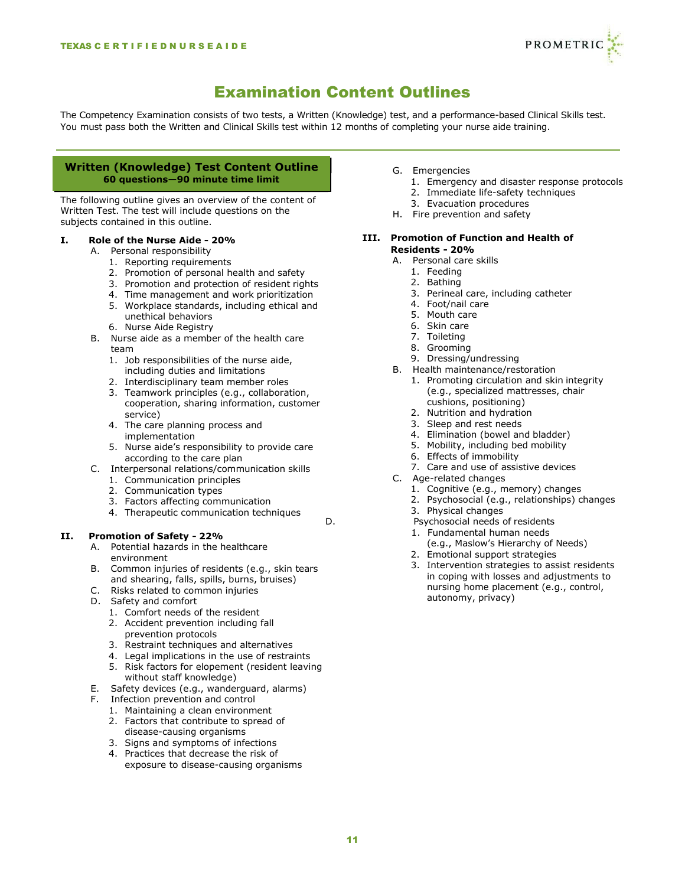

# Examination Content Outlines

<span id="page-10-0"></span>The Competency Examination consists of two tests, a Written (Knowledge) test, and a performance-based Clinical Skills test. You must pass both the Written and Clinical Skills test within 12 months of completing your nurse aide training.

#### **Written (Knowledge) Test Content Outline 60 questions—90 minute time limit**

The following outline gives an overview of the content of Written Test. The test will include questions on the subjects contained in this outline.

# **I. Role of the Nurse Aide - 20%**

- A. Personal responsibility
	- 1. Reporting requirements
	- 2. Promotion of personal health and safety
	- 3. Promotion and protection of resident rights
	- 4. Time management and work prioritization
	- 5. Workplace standards, including ethical and unethical behaviors
	- 6. Nurse Aide Registry
- B. Nurse aide as a member of the health care team
	- 1. Job responsibilities of the nurse aide, including duties and limitations
	- 2. Interdisciplinary team member roles
	- 3. Teamwork principles (e.g., collaboration, cooperation, sharing information, customer service)
	- 4. The care planning process and implementation
	- 5. Nurse aide's responsibility to provide care according to the care plan
- C. Interpersonal relations/communication skills
	- 1. Communication principles
	- 2. Communication types
	- 3. Factors affecting communication
	- 4. Therapeutic communication techniques

#### **II. Promotion of Safety - 22%**

- A. Potential hazards in the healthcare environment
- B. Common injuries of residents (e.g., skin tears and shearing, falls, spills, burns, bruises)
	- Risks related to common injuries
- D. Safety and comfort
	- 1. Comfort needs of the resident
	- 2. Accident prevention including fall prevention protocols
	- 3. Restraint techniques and alternatives
	- 4. Legal implications in the use of restraints
	- 5. Risk factors for elopement (resident leaving without staff knowledge)
- E. Safety devices (e.g., wanderguard, alarms)
- F. Infection prevention and control
	- 1. Maintaining a clean environment
	- 2. Factors that contribute to spread of disease-causing organisms
	- 3. Signs and symptoms of infections
	- 4. Practices that decrease the risk of exposure to disease-causing organisms
- G. Emergencies
	- 1. Emergency and disaster response protocols
	- 2. Immediate life-safety techniques
	- 3. Evacuation procedures
- H. Fire prevention and safety

#### **III. Promotion of Function and Health of Residents - 20%**

- A. Personal care skills
	- 1. Feeding
	- 2. Bathing
	- 3. Perineal care, including catheter
	- 4. Foot/nail care
	- 5. Mouth care
	- 6. Skin care
	- 7. Toileting
	- 8. Grooming
	- 9. Dressing/undressing
- B. Health maintenance/restoration
	- 1. Promoting circulation and skin integrity (e.g., specialized mattresses, chair cushions, positioning)
	- 2. Nutrition and hydration
	- 3. Sleep and rest needs
	- 4. Elimination (bowel and bladder)
	- 5. Mobility, including bed mobility
	- 6. Effects of immobility
	- 7. Care and use of assistive devices
- C. Age-related changes
	- 1. Cognitive (e.g., memory) changes
	- 2. Psychosocial (e.g., relationships) changes
	- 3. Physical changes
- D. Psychosocial needs of residents
	- 1. Fundamental human needs (e.g., Maslow's Hierarchy of Needs)
	- 2. Emotional support strategies
	- 3. Intervention strategies to assist residents in coping with losses and adjustments to nursing home placement (e.g., control, autonomy, privacy)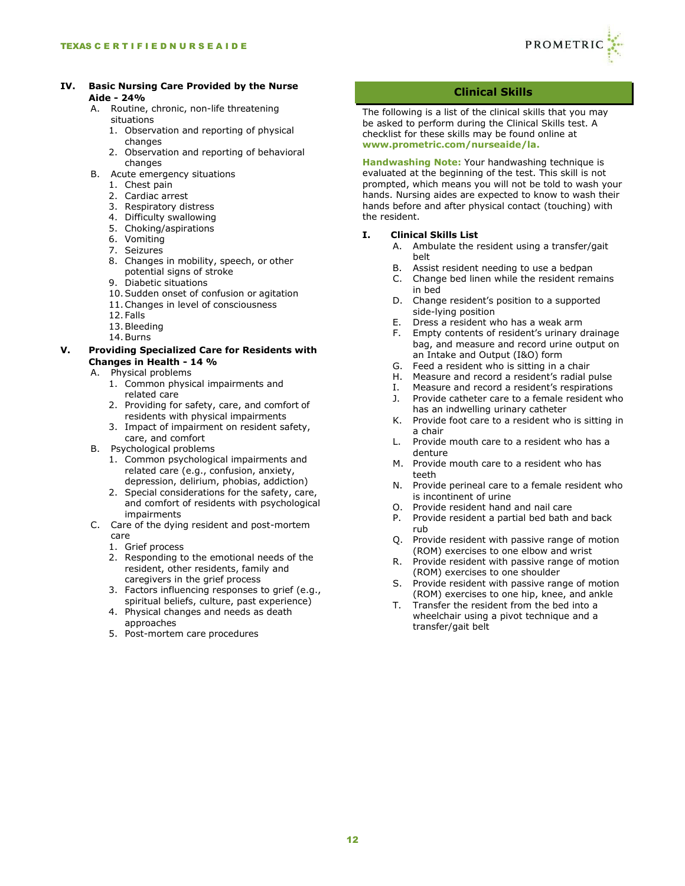

#### **IV. Basic Nursing Care Provided by the Nurse Aide - 24%**

- A. Routine, chronic, non-life threatening situations
	- 1. Observation and reporting of physical changes
	- 2. Observation and reporting of behavioral changes
- B. Acute emergency situations
	- 1. Chest pain
	- 2. Cardiac arrest
	- 3. Respiratory distress
	- 4. Difficulty swallowing
	- 5. Choking/aspirations
	- 6. Vomiting
	- 7. Seizures
	- 8. Changes in mobility, speech, or other potential signs of stroke
	- 9. Diabetic situations
	- 10.Sudden onset of confusion or agitation
	- 11.Changes in level of consciousness
	- 12.Falls
	- 13.Bleeding
	- 14.Burns

# **V. Providing Specialized Care for Residents with Changes in Health - 14 %**

- A. Physical problems
	- 1. Common physical impairments and related care
	- 2. Providing for safety, care, and comfort of residents with physical impairments
	- 3. Impact of impairment on resident safety, care, and comfort
- B. Psychological problems
	- 1. Common psychological impairments and related care (e.g., confusion, anxiety, depression, delirium, phobias, addiction)
	- 2. Special considerations for the safety, care, and comfort of residents with psychological impairments
- C. Care of the dying resident and post-mortem care
	- 1. Grief process
	- 2. Responding to the emotional needs of the resident, other residents, family and caregivers in the grief process
	- 3. Factors influencing responses to grief (e.g., spiritual beliefs, culture, past experience)
	- 4. Physical changes and needs as death approaches
	- 5. Post-mortem care procedures

# **Clinical Skills**

The following is a list of the clinical skills that you may be asked to perform during the Clinical Skills test. A checklist for these skills may be found online at **[www.prometric.com/nurseaide/la.](http://www.prometric.com/nurseaide/la)**

**Handwashing Note:** Your handwashing technique is evaluated at the beginning of the test. This skill is not prompted, which means you will not be told to wash your hands. Nursing aides are expected to know to wash their hands before and after physical contact (touching) with the resident.

# **I. Clinical Skills List**

- A. Ambulate the resident using a transfer/gait belt
- B. Assist resident needing to use a bedpan<br>C. Change bed linen while the resident rem
- Change bed linen while the resident remains in bed
- D. Change resident's position to a supported side-lying position
- E. Dress a resident who has a weak arm
- F. Empty contents of resident's urinary drainage bag, and measure and record urine output on an Intake and Output (I&O) form
- G. Feed a resident who is sitting in a chair
- H. Measure and record a resident's radial pulse
- I. Measure and record a resident's respirations
- J. Provide catheter care to a female resident who has an indwelling urinary catheter
- K. Provide foot care to a resident who is sitting in a chair
- L. Provide mouth care to a resident who has a denture
- M. Provide mouth care to a resident who has teeth
- N. Provide perineal care to a female resident who is incontinent of urine
- O. Provide resident hand and nail care
- P. Provide resident a partial bed bath and back rub
- Q. Provide resident with passive range of motion (ROM) exercises to one elbow and wrist
- R. Provide resident with passive range of motion (ROM) exercises to one shoulder
- S. Provide resident with passive range of motion (ROM) exercises to one hip, knee, and ankle
- T. Transfer the resident from the bed into a wheelchair using a pivot technique and a transfer/gait belt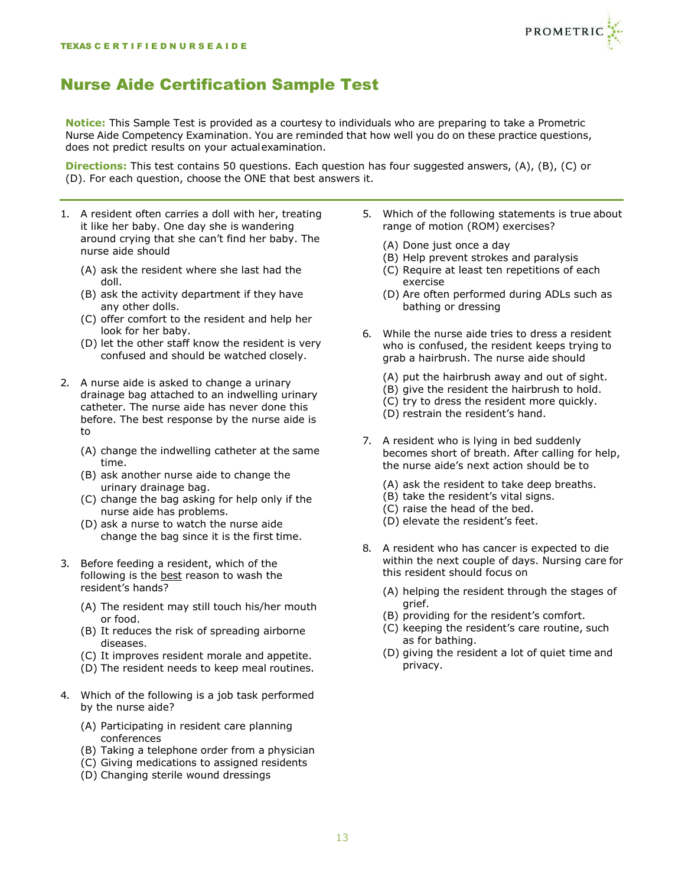

# Nurse Aide Certification Sample Test

**Notice:** This Sample Test is provided as a courtesy to individuals who are preparing to take a Prometric Nurse Aide Competency Examination. You are reminded that how well you do on these practice questions, does not predict results on your actualexamination.

**Directions:** This test contains 50 questions. Each question has four suggested answers, (A), (B), (C) or (D). For each question, choose the ONE that best answers it.

- 1. A resident often carries a doll with her, treating it like her baby. One day she is wandering around crying that she can't find her baby. The nurse aide should
	- (A) ask the resident where she last had the doll.
	- (B) ask the activity department if they have any other dolls.
	- (C) offer comfort to the resident and help her look for her baby.
	- (D) let the other staff know the resident is very confused and should be watched closely.
- 2. A nurse aide is asked to change a urinary drainage bag attached to an indwelling urinary catheter. The nurse aide has never done this before. The best response by the nurse aide is to
	- (A) change the indwelling catheter at the same time.
	- (B) ask another nurse aide to change the urinary drainage bag.
	- (C) change the bag asking for help only if the nurse aide has problems.
	- (D) ask a nurse to watch the nurse aide change the bag since it is the first time.
- 3. Before feeding a resident, which of the following is the best reason to wash the resident's hands?
	- (A) The resident may still touch his/her mouth or food.
	- (B) It reduces the risk of spreading airborne diseases.
	- (C) It improves resident morale and appetite.
	- (D) The resident needs to keep meal routines.
- 4. Which of the following is a job task performed by the nurse aide?
	- (A) Participating in resident care planning conferences
	- (B) Taking a telephone order from a physician
	- (C) Giving medications to assigned residents
	- (D) Changing sterile wound dressings
- 5. Which of the following statements is true about range of motion (ROM) exercises?
	- (A) Done just once a day
	- (B) Help prevent strokes and paralysis
	- (C) Require at least ten repetitions of each exercise
	- (D) Are often performed during ADLs such as bathing or dressing
- 6. While the nurse aide tries to dress a resident who is confused, the resident keeps trying to grab a hairbrush. The nurse aide should
	- (A) put the hairbrush away and out of sight.
	- (B) give the resident the hairbrush to hold.
	- (C) try to dress the resident more quickly.
	- (D) restrain the resident's hand.
- 7. A resident who is lying in bed suddenly becomes short of breath. After calling for help, the nurse aide's next action should be to
	- (A) ask the resident to take deep breaths.
	- (B) take the resident's vital signs.
	- (C) raise the head of the bed.
	- (D) elevate the resident's feet.
- 8. A resident who has cancer is expected to die within the next couple of days. Nursing care for this resident should focus on
	- (A) helping the resident through the stages of grief.
	- (B) providing for the resident's comfort.
	- (C) keeping the resident's care routine, such as for bathing.
	- (D) giving the resident a lot of quiet time and privacy.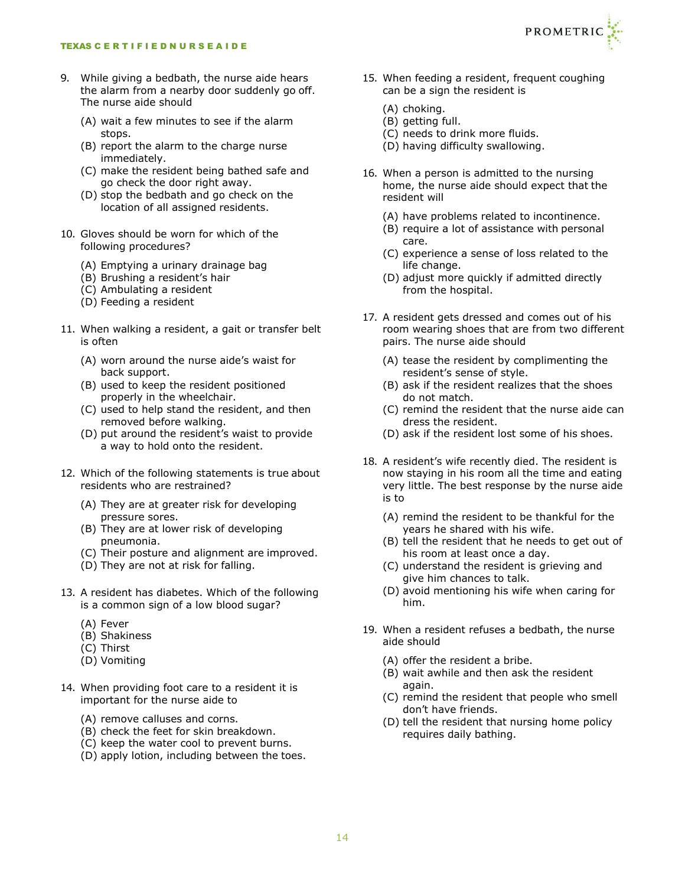- 9. While giving a bedbath, the nurse aide hears the alarm from a nearby door suddenly go off. The nurse aide should
	- (A) wait a few minutes to see if the alarm stops.
	- (B) report the alarm to the charge nurse immediately.
	- (C) make the resident being bathed safe and go check the door right away.
	- (D) stop the bedbath and go check on the location of all assigned residents.
- 10. Gloves should be worn for which of the following procedures?
	- (A) Emptying a urinary drainage bag
	- (B) Brushing a resident's hair
	- (C) Ambulating a resident
	- (D) Feeding a resident
- 11. When walking a resident, a gait or transfer belt is often
	- (A) worn around the nurse aide's waist for back support.
	- (B) used to keep the resident positioned properly in the wheelchair.
	- (C) used to help stand the resident, and then removed before walking.
	- (D) put around the resident's waist to provide a way to hold onto the resident.
- 12. Which of the following statements is true about residents who are restrained?
	- (A) They are at greater risk for developing pressure sores.
	- (B) They are at lower risk of developing pneumonia.
	- (C) Their posture and alignment are improved.
	- (D) They are not at risk for falling.
- 13. A resident has diabetes. Which of the following is a common sign of a low blood sugar?
	- (A) Fever
	- (B) Shakiness
	- (C) Thirst
	- (D) Vomiting
- 14. When providing foot care to a resident it is important for the nurse aide to
	- (A) remove calluses and corns.
	- (B) check the feet for skin breakdown.
	- (C) keep the water cool to prevent burns.
	- (D) apply lotion, including between the toes.
- 15. When feeding a resident, frequent coughing can be a sign the resident is
	- (A) choking.
	- (B) getting full.
	- (C) needs to drink more fluids.
	- (D) having difficulty swallowing.
- 16. When a person is admitted to the nursing home, the nurse aide should expect that the resident will
	- (A) have problems related to incontinence.
	- (B) require a lot of assistance with personal care.
	- (C) experience a sense of loss related to the life change.
	- (D) adjust more quickly if admitted directly from the hospital.
- 17. A resident gets dressed and comes out of his room wearing shoes that are from two different pairs. The nurse aide should
	- (A) tease the resident by complimenting the resident's sense of style.
	- (B) ask if the resident realizes that the shoes do not match.
	- (C) remind the resident that the nurse aide can dress the resident.
	- (D) ask if the resident lost some of his shoes.
- 18. A resident's wife recently died. The resident is now staying in his room all the time and eating very little. The best response by the nurse aide is to
	- (A) remind the resident to be thankful for the years he shared with his wife.
	- (B) tell the resident that he needs to get out of his room at least once a day.
	- (C) understand the resident is grieving and give him chances to talk.
	- (D) avoid mentioning his wife when caring for him.
- 19. When a resident refuses a bedbath, the nurse aide should
	- (A) offer the resident a bribe.
	- (B) wait awhile and then ask the resident again.
	- (C) remind the resident that people who smell don't have friends.
	- (D) tell the resident that nursing home policy requires daily bathing.

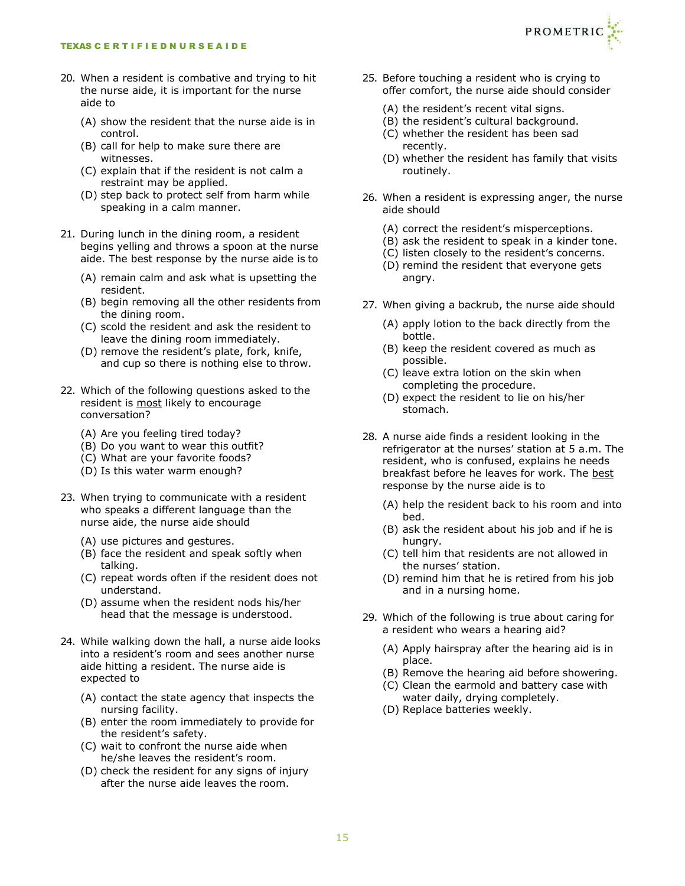- 20. When a resident is combative and trying to hit the nurse aide, it is important for the nurse aide to
	- (A) show the resident that the nurse aide is in control.
	- (B) call for help to make sure there are witnesses.
	- (C) explain that if the resident is not calm a restraint may be applied.
	- (D) step back to protect self from harm while speaking in a calm manner.
- 21. During lunch in the dining room, a resident begins yelling and throws a spoon at the nurse aide. The best response by the nurse aide is to
	- (A) remain calm and ask what is upsetting the resident.
	- (B) begin removing all the other residents from the dining room.
	- (C) scold the resident and ask the resident to leave the dining room immediately.
	- (D) remove the resident's plate, fork, knife, and cup so there is nothing else to throw.
- 22. Which of the following questions asked to the resident is most likely to encourage conversation?
	- (A) Are you feeling tired today?
	- (B) Do you want to wear this outfit?
	- (C) What are your favorite foods?
	- (D) Is this water warm enough?
- 23. When trying to communicate with a resident who speaks a different language than the nurse aide, the nurse aide should
	- (A) use pictures and gestures.
	- (B) face the resident and speak softly when talking.
	- (C) repeat words often if the resident does not understand.
	- (D) assume when the resident nods his/her head that the message is understood.
- 24. While walking down the hall, a nurse aide looks into a resident's room and sees another nurse aide hitting a resident. The nurse aide is expected to
	- (A) contact the state agency that inspects the nursing facility.
	- (B) enter the room immediately to provide for the resident's safety.
	- (C) wait to confront the nurse aide when he/she leaves the resident's room.
	- (D) check the resident for any signs of injury after the nurse aide leaves the room.



- 25. Before touching a resident who is crying to offer comfort, the nurse aide should consider
	- (A) the resident's recent vital signs.
	- (B) the resident's cultural background.
	- (C) whether the resident has been sad recently.
	- (D) whether the resident has family that visits routinely.
- 26. When a resident is expressing anger, the nurse aide should
	- (A) correct the resident's misperceptions.
	- (B) ask the resident to speak in a kinder tone.
	- (C) listen closely to the resident's concerns.
	- (D) remind the resident that everyone gets angry.
- 27. When giving a backrub, the nurse aide should
	- (A) apply lotion to the back directly from the bottle.
	- (B) keep the resident covered as much as possible.
	- (C) leave extra lotion on the skin when completing the procedure.
	- (D) expect the resident to lie on his/her stomach.
- 28. A nurse aide finds a resident looking in the refrigerator at the nurses' station at 5 a.m. The resident, who is confused, explains he needs breakfast before he leaves for work. The best response by the nurse aide is to
	- (A) help the resident back to his room and into bed.
	- (B) ask the resident about his job and if he is hungry.
	- (C) tell him that residents are not allowed in the nurses' station.
	- (D) remind him that he is retired from his job and in a nursing home.
- 29. Which of the following is true about caring for a resident who wears a hearing aid?
	- (A) Apply hairspray after the hearing aid is in place.
	- (B) Remove the hearing aid before showering.
	- (C) Clean the earmold and battery case with water daily, drying completely.
	- (D) Replace batteries weekly.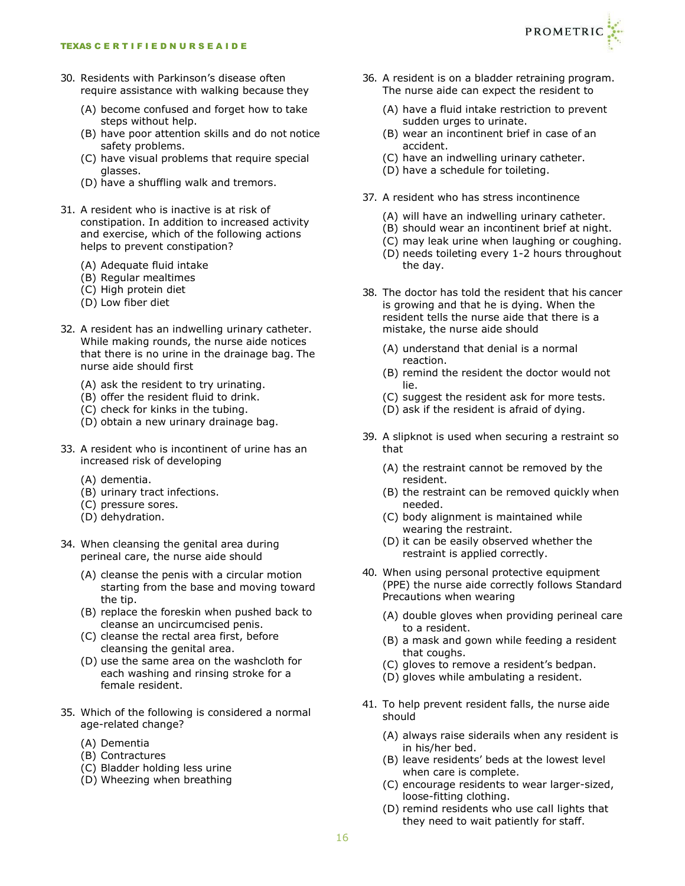- 30. Residents with Parkinson's disease often require assistance with walking because they
	- (A) become confused and forget how to take steps without help.
	- (B) have poor attention skills and do not notice safety problems.
	- (C) have visual problems that require special glasses.
	- (D) have a shuffling walk and tremors.
- 31. A resident who is inactive is at risk of constipation. In addition to increased activity and exercise, which of the following actions helps to prevent constipation?
	- (A) Adequate fluid intake
	- (B) Regular mealtimes
	- (C) High protein diet
	- (D) Low fiber diet
- 32. A resident has an indwelling urinary catheter. While making rounds, the nurse aide notices that there is no urine in the drainage bag. The nurse aide should first
	- (A) ask the resident to try urinating.
	- (B) offer the resident fluid to drink.
	- (C) check for kinks in the tubing.
	- (D) obtain a new urinary drainage bag.
- 33. A resident who is incontinent of urine has an increased risk of developing
	- (A) dementia.
	- (B) urinary tract infections.
	- (C) pressure sores.
	- (D) dehydration.
- 34. When cleansing the genital area during perineal care, the nurse aide should
	- (A) cleanse the penis with a circular motion starting from the base and moving toward the tip.
	- (B) replace the foreskin when pushed back to cleanse an uncircumcised penis.
	- (C) cleanse the rectal area first, before cleansing the genital area.
	- (D) use the same area on the washcloth for each washing and rinsing stroke for a female resident.
- 35. Which of the following is considered a normal age-related change?
	- (A) Dementia
	- (B) Contractures
	- (C) Bladder holding less urine
	- (D) Wheezing when breathing
- 36. A resident is on a bladder retraining program. The nurse aide can expect the resident to
	- (A) have a fluid intake restriction to prevent sudden urges to urinate.
	- (B) wear an incontinent brief in case of an accident.
	- (C) have an indwelling urinary catheter.
	- (D) have a schedule for toileting.
- 37. A resident who has stress incontinence
	- (A) will have an indwelling urinary catheter.
	- (B) should wear an incontinent brief at night.
	- (C) may leak urine when laughing or coughing.
	- (D) needs toileting every 1-2 hours throughout the day.
- 38. The doctor has told the resident that his cancer is growing and that he is dying. When the resident tells the nurse aide that there is a mistake, the nurse aide should
	- (A) understand that denial is a normal reaction.
	- (B) remind the resident the doctor would not lie.
	- (C) suggest the resident ask for more tests.
	- (D) ask if the resident is afraid of dying.
- 39. A slipknot is used when securing a restraint so that
	- (A) the restraint cannot be removed by the resident.
	- (B) the restraint can be removed quickly when needed.
	- (C) body alignment is maintained while wearing the restraint.
	- (D) it can be easily observed whether the restraint is applied correctly.
- 40. When using personal protective equipment (PPE) the nurse aide correctly follows Standard Precautions when wearing
	- (A) double gloves when providing perineal care to a resident.
	- (B) a mask and gown while feeding a resident that coughs.
	- (C) gloves to remove a resident's bedpan.
	- (D) gloves while ambulating a resident.
- 41. To help prevent resident falls, the nurse aide should
	- (A) always raise siderails when any resident is in his/her bed.
	- (B) leave residents' beds at the lowest level when care is complete.
	- (C) encourage residents to wear larger-sized, loose-fitting clothing.
	- (D) remind residents who use call lights that they need to wait patiently for staff.

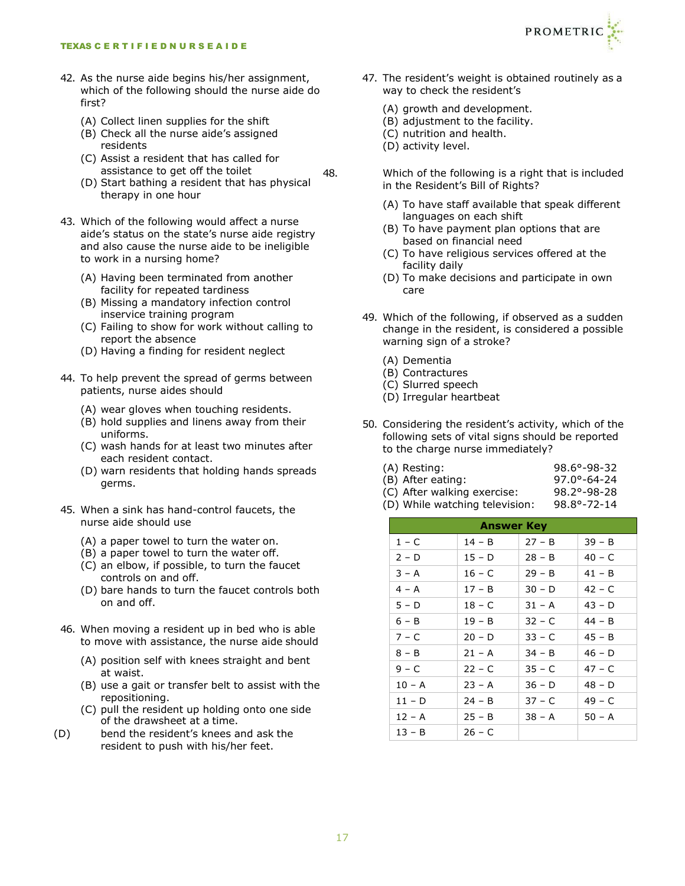- 42. As the nurse aide begins his/her assignment, which of the following should the nurse aide do first?
	- (A) Collect linen supplies for the shift
	- (B) Check all the nurse aide's assigned residents
	- (C) Assist a resident that has called for assistance to get off the toilet
	- (D) Start bathing a resident that has physical therapy in one hour
- 43. Which of the following would affect a nurse aide's status on the state's nurse aide registry and also cause the nurse aide to be ineligible to work in a nursing home?
	- (A) Having been terminated from another facility for repeated tardiness
	- (B) Missing a mandatory infection control inservice training program
	- (C) Failing to show for work without calling to report the absence
	- (D) Having a finding for resident neglect
- 44. To help prevent the spread of germs between patients, nurse aides should
	- (A) wear gloves when touching residents.
	- (B) hold supplies and linens away from their uniforms.
	- (C) wash hands for at least two minutes after each resident contact.
	- (D) warn residents that holding hands spreads germs.
- 45. When a sink has hand-control faucets, the nurse aide should use
	- (A) a paper towel to turn the water on.
	- (B) a paper towel to turn the water off.
	- (C) an elbow, if possible, to turn the faucet controls on and off.
	- (D) bare hands to turn the faucet controls both on and off.
- 46. When moving a resident up in bed who is able to move with assistance, the nurse aide should
	- (A) position self with knees straight and bent at waist.
	- (B) use a gait or transfer belt to assist with the repositioning.
	- (C) pull the resident up holding onto one side of the drawsheet at a time.
- (D) bend the resident's knees and ask the resident to push with his/her feet.



- 47. The resident's weight is obtained routinely as a way to check the resident's
	- (A) growth and development.
	- (B) adjustment to the facility.
	- (C) nutrition and health.
	- (D) activity level.
- 48. Which of the following is a right that is included in the Resident's Bill of Rights?
	- (A) To have staff available that speak different languages on each shift
	- (B) To have payment plan options that are based on financial need
	- (C) To have religious services offered at the facility daily
	- (D) To make decisions and participate in own care
	- 49. Which of the following, if observed as a sudden change in the resident, is considered a possible warning sign of a stroke?
		- (A) Dementia
		- (B) Contractures
		- (C) Slurred speech
		- (D) Irregular heartbeat
	- 50. Considering the resident's activity, which of the following sets of vital signs should be reported to the charge nurse immediately?

| (A) Resting:                | $98.6^{\circ} - 98 - 32$ |
|-----------------------------|--------------------------|
| (B) After eating:           | $97.0^{\circ} - 64 - 24$ |
| (C) After walking exercise: | $98.2^{\circ} - 98 - 28$ |

(D) While watching television: 98.8°-72-14

| <b>Answer Key</b> |          |          |          |  |  |
|-------------------|----------|----------|----------|--|--|
| 1 – C             | 14 – B   | $27 - B$ | $39 - B$ |  |  |
| $2 - D$           | 15 – D   | $28 - B$ | $40 - C$ |  |  |
| $3 - A$           | $16 - C$ | $29 - B$ | $41 - B$ |  |  |
| $4 - A$           | $17 - B$ | $30 - D$ | $42 - C$ |  |  |
| $5 - D$           | $18 - C$ | $31 - A$ | $43 - D$ |  |  |
| $6 - B$           | $19 - B$ | $32 - C$ | $44 - B$ |  |  |
| $7 - C$           | $20 - D$ | $33 - C$ | $45 - B$ |  |  |
| $8 - B$           | $21 - A$ | $34 - B$ | $46 - D$ |  |  |
| $9 - C$           | $22 - C$ | $35 - C$ | $47 - C$ |  |  |
| $10 - A$          | $23 - A$ | $36 - D$ | $48 - D$ |  |  |
| $11 - D$          | $24 - B$ | $37 - C$ | $49 - C$ |  |  |
| $12 - A$          | $25 - B$ | $38 - A$ | $50 - A$ |  |  |
| $13 - B$          | $26 - C$ |          |          |  |  |